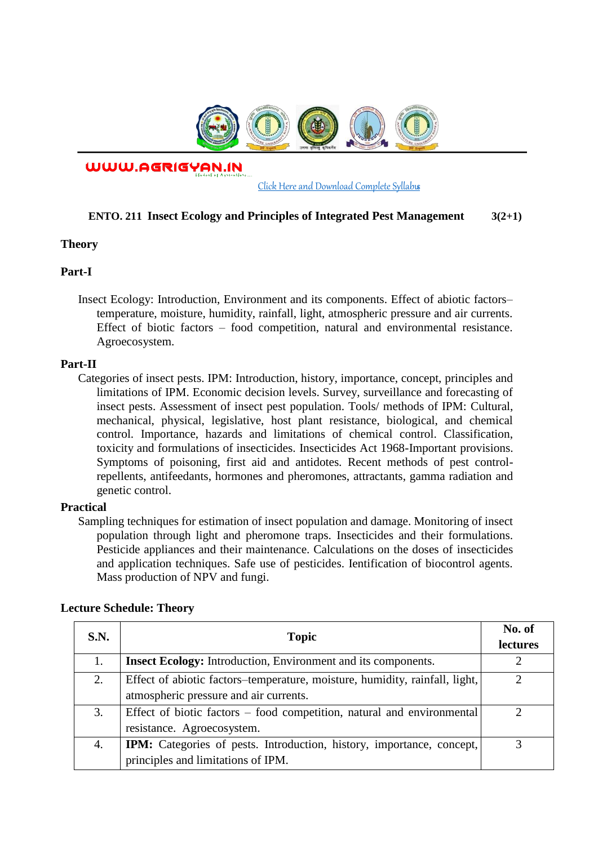

WWW.AGRIGYAN.IN

[Click Here and Download Complete Syllabus](http://agrigyan.in/)

## **ENTO. 211 Insect Ecology and Principles of Integrated Pest Management 3(2+1)**

### **Theory**

 $\overline{a}$ 

## **Part-I**

Insect Ecology: Introduction, Environment and its components. Effect of abiotic factors– temperature, moisture, humidity, rainfall, light, atmospheric pressure and air currents. Effect of biotic factors – food competition, natural and environmental resistance. Agroecosystem.

### **Part-II**

Categories of insect pests. IPM: Introduction, history, importance, concept, principles and limitations of IPM. Economic decision levels. Survey, surveillance and forecasting of insect pests. Assessment of insect pest population. Tools/ methods of IPM: Cultural, mechanical, physical, legislative, host plant resistance, biological, and chemical control. Importance, hazards and limitations of chemical control. Classification, toxicity and formulations of insecticides. Insecticides Act 1968-Important provisions. Symptoms of poisoning, first aid and antidotes. Recent methods of pest controlrepellents, antifeedants, hormones and pheromones, attractants, gamma radiation and genetic control.

#### **Practical**

Sampling techniques for estimation of insect population and damage. Monitoring of insect population through light and pheromone traps. Insecticides and their formulations. Pesticide appliances and their maintenance. Calculations on the doses of insecticides and application techniques. Safe use of pesticides. Ientification of biocontrol agents. Mass production of NPV and fungi.

| <b>S.N.</b> | <b>Topic</b>                                                                | No. of          |
|-------------|-----------------------------------------------------------------------------|-----------------|
|             |                                                                             | <b>lectures</b> |
|             | <b>Insect Ecology:</b> Introduction, Environment and its components.        |                 |
| 2.          | Effect of abiotic factors-temperature, moisture, humidity, rainfall, light, | ∍               |
|             | atmospheric pressure and air currents.                                      |                 |
| 3.          | Effect of biotic factors – food competition, natural and environmental      |                 |
|             | resistance. Agroecosystem.                                                  |                 |
| 4.          | IPM: Categories of pests. Introduction, history, importance, concept,       |                 |
|             | principles and limitations of IPM.                                          |                 |

### **Lecture Schedule: Theory**